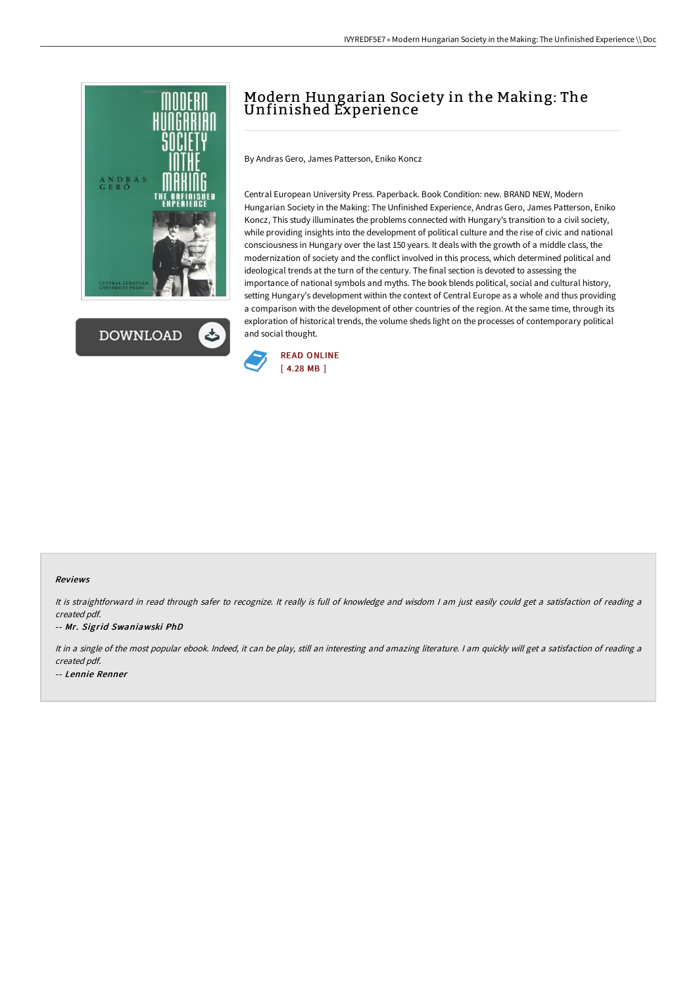



# Modern Hungarian Society in the Making: The Unfinished Experience

By Andras Gero, James Patterson, Eniko Koncz

Central European University Press. Paperback. Book Condition: new. BRAND NEW, Modern Hungarian Society in the Making: The Unfinished Experience, Andras Gero, James Patterson, Eniko Koncz, This study illuminates the problems connected with Hungary's transition to a civil society, while providing insights into the development of political culture and the rise of civic and national consciousness in Hungary over the last 150 years. It deals with the growth of a middle class, the modernization of society and the conflict involved in this process, which determined political and ideological trends at the turn of the century. The final section is devoted to assessing the importance of national symbols and myths. The book blends political, social and cultural history, setting Hungary's development within the context of Central Europe as a whole and thus providing a comparison with the development of other countries of the region. At the same time, through its exploration of historical trends, the volume sheds light on the processes of contemporary political and social thought.



#### Reviews

It is straightforward in read through safer to recognize. It really is full of knowledge and wisdom <sup>I</sup> am just easily could get <sup>a</sup> satisfaction of reading <sup>a</sup> created pdf.

-- Mr. Sigrid Swaniawski PhD

It in <sup>a</sup> single of the most popular ebook. Indeed, it can be play, still an interesting and amazing literature. <sup>I</sup> am quickly will get <sup>a</sup> satisfaction of reading <sup>a</sup> created pdf. -- Lennie Renner